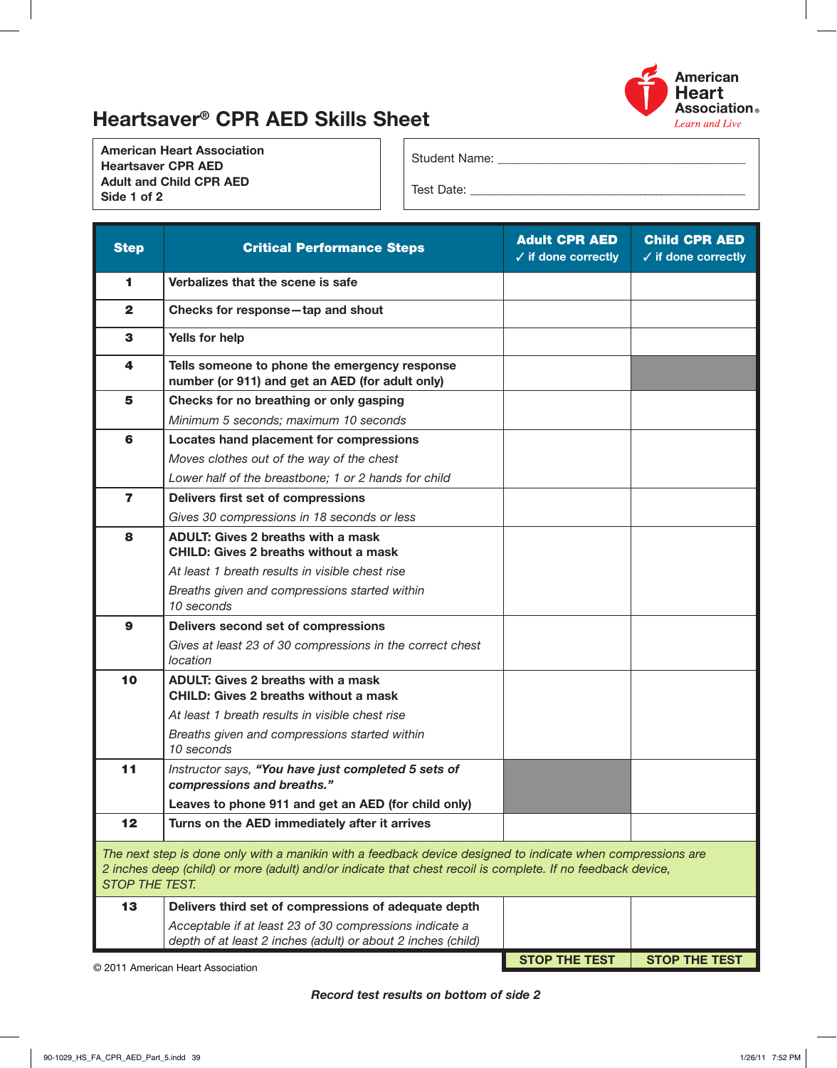

## Heartsaver® CPR AED Skills Sheet

American Heart Association Heartsaver CPR AED Adult and Child CPR AED Side 1 of 2

Student Name: \_\_\_\_\_\_\_\_\_

Test Date: \_\_\_\_\_\_\_\_\_\_\_\_\_\_\_\_\_\_\_\_\_\_\_\_\_\_\_\_\_\_\_\_\_\_\_\_\_\_\_\_\_\_\_\_\_\_

| <b>Step</b>                                                                                                                                                                                                                                         | <b>Critical Performance Steps</b>                                                                                       | <b>Adult CPR AED</b><br>$\checkmark$ if done correctly | <b>Child CPR AED</b><br>$\checkmark$ if done correctly |  |  |  |
|-----------------------------------------------------------------------------------------------------------------------------------------------------------------------------------------------------------------------------------------------------|-------------------------------------------------------------------------------------------------------------------------|--------------------------------------------------------|--------------------------------------------------------|--|--|--|
| 1.                                                                                                                                                                                                                                                  | Verbalizes that the scene is safe                                                                                       |                                                        |                                                        |  |  |  |
| $\mathbf{2}$                                                                                                                                                                                                                                        | Checks for response-tap and shout                                                                                       |                                                        |                                                        |  |  |  |
| 3                                                                                                                                                                                                                                                   | Yells for help                                                                                                          |                                                        |                                                        |  |  |  |
| 4                                                                                                                                                                                                                                                   | Tells someone to phone the emergency response<br>number (or 911) and get an AED (for adult only)                        |                                                        |                                                        |  |  |  |
| 5                                                                                                                                                                                                                                                   | Checks for no breathing or only gasping                                                                                 |                                                        |                                                        |  |  |  |
|                                                                                                                                                                                                                                                     | Minimum 5 seconds; maximum 10 seconds                                                                                   |                                                        |                                                        |  |  |  |
| 6                                                                                                                                                                                                                                                   | Locates hand placement for compressions                                                                                 |                                                        |                                                        |  |  |  |
|                                                                                                                                                                                                                                                     | Moves clothes out of the way of the chest                                                                               |                                                        |                                                        |  |  |  |
|                                                                                                                                                                                                                                                     | Lower half of the breastbone; 1 or 2 hands for child                                                                    |                                                        |                                                        |  |  |  |
| $\overline{ }$                                                                                                                                                                                                                                      | Delivers first set of compressions                                                                                      |                                                        |                                                        |  |  |  |
|                                                                                                                                                                                                                                                     | Gives 30 compressions in 18 seconds or less                                                                             |                                                        |                                                        |  |  |  |
| 8                                                                                                                                                                                                                                                   | <b>ADULT: Gives 2 breaths with a mask</b><br><b>CHILD: Gives 2 breaths without a mask</b>                               |                                                        |                                                        |  |  |  |
|                                                                                                                                                                                                                                                     | At least 1 breath results in visible chest rise                                                                         |                                                        |                                                        |  |  |  |
|                                                                                                                                                                                                                                                     | Breaths given and compressions started within<br>10 seconds                                                             |                                                        |                                                        |  |  |  |
| 9                                                                                                                                                                                                                                                   | Delivers second set of compressions                                                                                     |                                                        |                                                        |  |  |  |
|                                                                                                                                                                                                                                                     | Gives at least 23 of 30 compressions in the correct chest<br>location                                                   |                                                        |                                                        |  |  |  |
| 10                                                                                                                                                                                                                                                  | <b>ADULT: Gives 2 breaths with a mask</b><br><b>CHILD: Gives 2 breaths without a mask</b>                               |                                                        |                                                        |  |  |  |
|                                                                                                                                                                                                                                                     | At least 1 breath results in visible chest rise                                                                         |                                                        |                                                        |  |  |  |
|                                                                                                                                                                                                                                                     | Breaths given and compressions started within<br>10 seconds                                                             |                                                        |                                                        |  |  |  |
| 11                                                                                                                                                                                                                                                  | Instructor says, "You have just completed 5 sets of<br>compressions and breaths."                                       |                                                        |                                                        |  |  |  |
|                                                                                                                                                                                                                                                     | Leaves to phone 911 and get an AED (for child only)                                                                     |                                                        |                                                        |  |  |  |
| 12                                                                                                                                                                                                                                                  | Turns on the AED immediately after it arrives                                                                           |                                                        |                                                        |  |  |  |
| The next step is done only with a manikin with a feedback device designed to indicate when compressions are<br>2 inches deep (child) or more (adult) and/or indicate that chest recoil is complete. If no feedback device,<br><b>STOP THE TEST.</b> |                                                                                                                         |                                                        |                                                        |  |  |  |
| 13                                                                                                                                                                                                                                                  | Delivers third set of compressions of adequate depth                                                                    |                                                        |                                                        |  |  |  |
|                                                                                                                                                                                                                                                     | Acceptable if at least 23 of 30 compressions indicate a<br>depth of at least 2 inches (adult) or about 2 inches (child) |                                                        |                                                        |  |  |  |
|                                                                                                                                                                                                                                                     |                                                                                                                         | <b>STOP THE TEST</b>                                   | <b>STOP THE TEST</b>                                   |  |  |  |

© 2011 American Heart Association